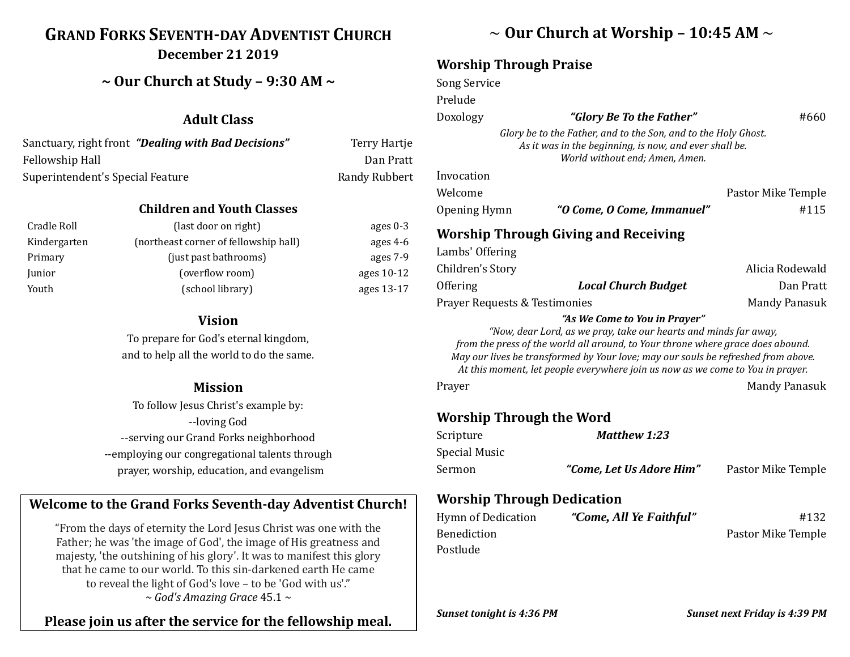# **GRAND FORKS SEVENTH-DAY ADVENTIST CHURCH December 21 2019**

## **~ Our Church at Study – 9:30 AM ~**

### **Adult Class**

| Sanctuary, right front "Dealing with Bad Decisions" | Terry Hartje         |
|-----------------------------------------------------|----------------------|
| Fellowship Hall                                     | Dan Pratt            |
| Superintendent's Special Feature                    | <b>Randy Rubbert</b> |

#### **Children and Youth Classes**

| Cradle Roll  | (last door on right)                  | ages $0-3$ |
|--------------|---------------------------------------|------------|
| Kindergarten | (northeast corner of fellowship hall) | ages $4-6$ |
| Primary      | (just past bathrooms)                 | ages 7-9   |
| Junior       | (overflow room)                       | ages 10-12 |
| Youth        | (school library)                      | ages 13-17 |

#### **Vision**

To prepare for God's eternal kingdom, and to help all the world to do the same.

#### **Mission**

To follow Jesus Christ's example by: --loving God --serving our Grand Forks neighborhood --employing our congregational talents through prayer, worship, education, and evangelism

### **Welcome to the Grand Forks Seventh-day Adventist Church!**

"From the days of eternity the Lord Jesus Christ was one with the Father; he was 'the image of God', the image of His greatness and majesty, 'the outshining of his glory'. It was to manifest this glory that he came to our world. To this sin-darkened earth He came to reveal the light of God's love – to be 'God with us'." *~ God's Amazing Grace* 45.1 *~*

### **Please join us after the service for the fellowship meal.**

## ~ **Our Church at Worship – 10:45 AM** ~

## **Worship Through Praise**

| Song Service                  |                                                                                                                                                                                      |                                                                                                               |
|-------------------------------|--------------------------------------------------------------------------------------------------------------------------------------------------------------------------------------|---------------------------------------------------------------------------------------------------------------|
| Prelude                       |                                                                                                                                                                                      |                                                                                                               |
| Doxology                      | "Glory Be To the Father"                                                                                                                                                             | #660                                                                                                          |
|                               | Glory be to the Father, and to the Son, and to the Holy Ghost.<br>As it was in the beginning, is now, and ever shall be.<br>World without end; Amen, Amen.                           |                                                                                                               |
| Invocation                    |                                                                                                                                                                                      |                                                                                                               |
| Welcome                       |                                                                                                                                                                                      | Pastor Mike Temple                                                                                            |
| Opening Hymn                  | "O Come, O Come, Immanuel"                                                                                                                                                           | #115                                                                                                          |
|                               | <b>Worship Through Giving and Receiving</b>                                                                                                                                          |                                                                                                               |
| Lambs' Offering               |                                                                                                                                                                                      |                                                                                                               |
|                               |                                                                                                                                                                                      | Alicia Rodewald                                                                                               |
| Children's Story              |                                                                                                                                                                                      |                                                                                                               |
| Offering                      | <b>Local Church Budget</b>                                                                                                                                                           |                                                                                                               |
| Prayer Requests & Testimonies | "As We Come to You in Prayer"<br>"Now, dear Lord, as we pray, take our hearts and minds far away,<br>from the press of the world all around, to Your throne where grace does abound. |                                                                                                               |
|                               | May our lives be transformed by Your love; may our souls be refreshed from above.<br>At this moment, let people everywhere join us now as we come to You in prayer.                  |                                                                                                               |
| Prayer                        |                                                                                                                                                                                      |                                                                                                               |
|                               | <b>Worship Through the Word</b>                                                                                                                                                      |                                                                                                               |
| Scripture                     | <b>Matthew 1:23</b>                                                                                                                                                                  |                                                                                                               |
| <b>Special Music</b>          |                                                                                                                                                                                      |                                                                                                               |
| Sermon                        | "Come, Let Us Adore Him"                                                                                                                                                             |                                                                                                               |
|                               | <b>Worship Through Dedication</b>                                                                                                                                                    |                                                                                                               |
| <b>Hymn of Dedication</b>     | "Come, All Ye Faithful"                                                                                                                                                              |                                                                                                               |
| Benediction                   |                                                                                                                                                                                      | Dan Pratt<br><b>Mandy Panasuk</b><br><b>Mandy Panasuk</b><br>Pastor Mike Temple<br>#132<br>Pastor Mike Temple |